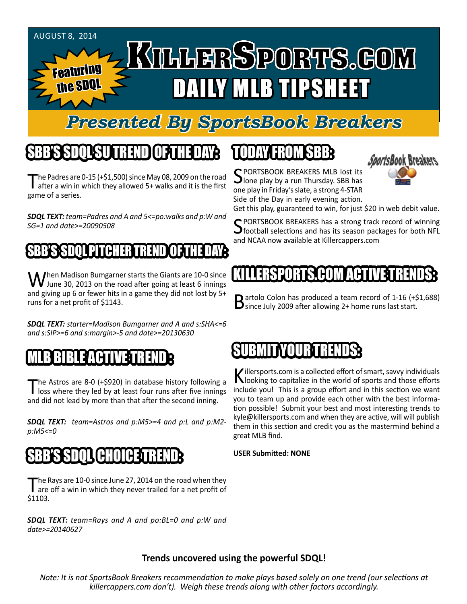#### AUGUST 8, 2014 KILLERSPORTS.GOM Featuring DAILY MLB TIPSHEET the **SDQ**

## *Presented By SportsBook Breakers*

# SBB'S SDQL SU TREND OF THE DAY:

The Padres are 0-15 (+\$1,500) since May 08, 2009 on the road<br>after a win in which they allowed 5+ walks and it is the first game of a series.

*SDQL TEXT: team=Padres and A and 5<=po:walks and p:W and SG=1 and date>=20090508*

### SSBB'S SPARE TREND OF THE DAY: THE PITCHER TREND OF THE DAY: THE DAY OF THE DAY: THE DAY OF THE DAY

When Madison Bumgarner starts the Giants are 10-0 since<br>June 30, 2013 on the road after going at least 6 innings and giving up 6 or fewer hits in a game they did not lost by 5+ runs for a net profit of \$1143.

*SDQL TEXT: starter=Madison Bumgarner and A and s:SHA<=6 and s:SIP>=6 and s:margin>-5 and date>=20130630* 

#### MLB BIBLE ACTIVE TRENDE

The Astros are 8-0 (+\$920) in database history following a loss where they led by at least four runs after five innings and did not lead by more than that after the second inning.

*SDQL TEXT: team=Astros and p:M5>=4 and p:L and p:M2 p:M5<=0*

## SBB'S SDQL CHOICE TREND

The Rays are 10-0 since June 27, 2014 on the road when they<br>are off a win in which they never trailed for a net profit of \$1103.

*SDQL TEXT: team=Rays and A and po:BL=0 and p:W and date>=20140627*

# TODAY HAOMSBB



SPORTSBOOK BREAKERS MLB lost its<br>Jone play by a run Thursday. SBB has one play in Friday's slate, a strong 4-STAR Side of the Day in early evening action.

Get this play, guaranteed to win, for just \$20 in web debit value.

SPORTSBOOK BREAKERS has a strong track record of winning football selections and has its season packages for both NFL and NCAA now available at Killercappers.com

### ILLERSPORTS.COM ACT

**D** artolo Colon has produced a team record of 1-16  $(+\xi1,688)$  $\mathbf D$  since July 2009 after allowing 2+ home runs last start.

#### BEEN IN IN 1975 IS ANDERED

Killersports.com is a collected effort of smart, savvy individuals<br>Nooking to capitalize in the world of sports and those efforts include you! This is a group effort and in this section we want you to team up and provide each other with the best information possible! Submit your best and most interesting trends to kyle@killersports.com and when they are active, will will publish them in this section and credit you as the mastermind behind a great MLB find.

#### **USER Submitted: NONE**

#### **Trends uncovered using the powerful SDQL!**

*Note: It is not SportsBook Breakers recommendation to make plays based solely on one trend (our selections at killercappers.com don't). Weigh these trends along with other factors accordingly.*